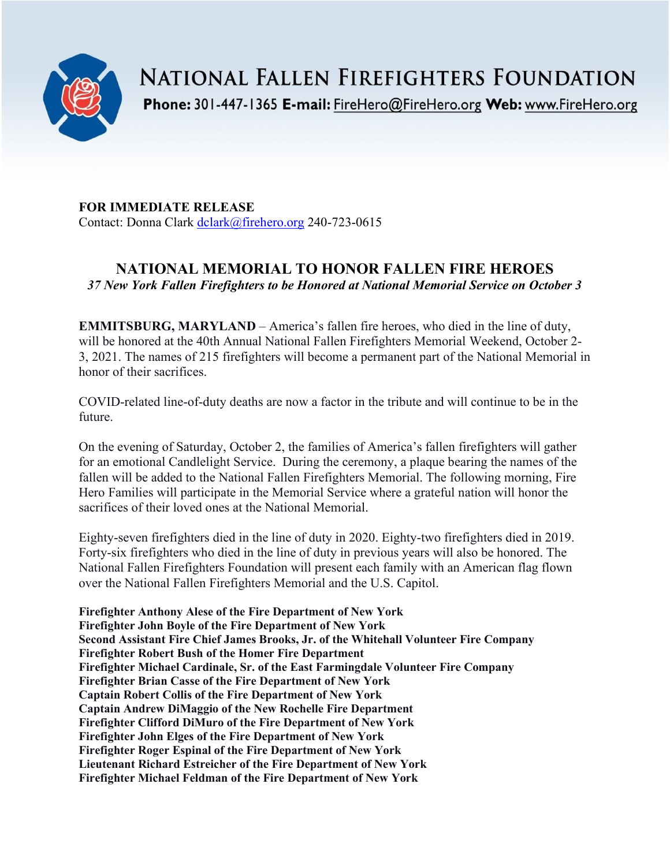

**NATIONAL FALLEN FIREFIGHTERS FOUNDATION** 

Phone: 301-447-1365 E-mail: FireHero@FireHero.org Web: www.FireHero.org

**FOR IMMEDIATE RELEASE** Contact: Donna Clark [dclark@firehero.org](mailto:dclark@firehero.org) 240-723-0615

# **NATIONAL MEMORIAL TO HONOR FALLEN FIRE HEROES** *37 New York Fallen Firefighters to be Honored at National Memorial Service on October 3*

**EMMITSBURG, MARYLAND** – America's fallen fire heroes, who died in the line of duty, will be honored at the 40th Annual National Fallen Firefighters Memorial Weekend, October 2- 3, 2021. The names of 215 firefighters will become a permanent part of the National Memorial in honor of their sacrifices.

COVID-related line-of-duty deaths are now a factor in the tribute and will continue to be in the future.

On the evening of Saturday, October 2, the families of America's fallen firefighters will gather for an emotional Candlelight Service. During the ceremony, a plaque bearing the names of the fallen will be added to the National Fallen Firefighters Memorial. The following morning, Fire Hero Families will participate in the Memorial Service where a grateful nation will honor the sacrifices of their loved ones at the National Memorial.

Eighty-seven firefighters died in the line of duty in 2020. Eighty-two firefighters died in 2019. Forty-six firefighters who died in the line of duty in previous years will also be honored. The National Fallen Firefighters Foundation will present each family with an American flag flown over the National Fallen Firefighters Memorial and the U.S. Capitol.

**Firefighter Anthony Alese of the Fire Department of New York Firefighter John Boyle of the Fire Department of New York Second Assistant Fire Chief James Brooks, Jr. of the Whitehall Volunteer Fire Company Firefighter Robert Bush of the Homer Fire Department Firefighter Michael Cardinale, Sr. of the East Farmingdale Volunteer Fire Company Firefighter Brian Casse of the Fire Department of New York Captain Robert Collis of the Fire Department of New York Captain Andrew DiMaggio of the New Rochelle Fire Department Firefighter Clifford DiMuro of the Fire Department of New York Firefighter John Elges of the Fire Department of New York Firefighter Roger Espinal of the Fire Department of New York Lieutenant Richard Estreicher of the Fire Department of New York Firefighter Michael Feldman of the Fire Department of New York**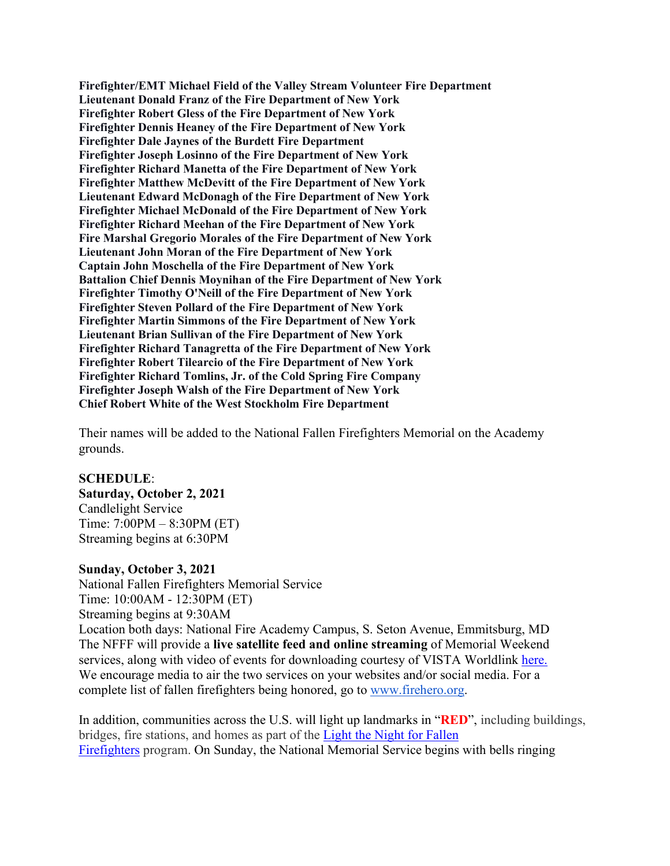**Firefighter/EMT Michael Field of the Valley Stream Volunteer Fire Department Lieutenant Donald Franz of the Fire Department of New York Firefighter Robert Gless of the Fire Department of New York Firefighter Dennis Heaney of the Fire Department of New York Firefighter Dale Jaynes of the Burdett Fire Department Firefighter Joseph Losinno of the Fire Department of New York Firefighter Richard Manetta of the Fire Department of New York Firefighter Matthew McDevitt of the Fire Department of New York Lieutenant Edward McDonagh of the Fire Department of New York Firefighter Michael McDonald of the Fire Department of New York Firefighter Richard Meehan of the Fire Department of New York Fire Marshal Gregorio Morales of the Fire Department of New York Lieutenant John Moran of the Fire Department of New York Captain John Moschella of the Fire Department of New York Battalion Chief Dennis Moynihan of the Fire Department of New York Firefighter Timothy O'Neill of the Fire Department of New York Firefighter Steven Pollard of the Fire Department of New York Firefighter Martin Simmons of the Fire Department of New York Lieutenant Brian Sullivan of the Fire Department of New York Firefighter Richard Tanagretta of the Fire Department of New York Firefighter Robert Tilearcio of the Fire Department of New York Firefighter Richard Tomlins, Jr. of the Cold Spring Fire Company Firefighter Joseph Walsh of the Fire Department of New York Chief Robert White of the West Stockholm Fire Department**

Their names will be added to the National Fallen Firefighters Memorial on the Academy grounds.

#### **SCHEDULE**:

**Saturday, October 2, 2021** Candlelight Service

Time: 7:00PM – 8:30PM (ET) Streaming begins at 6:30PM

#### **Sunday, October 3, 2021**

National Fallen Firefighters Memorial Service Time: 10:00AM - 12:30PM (ET) Streaming begins at 9:30AM Location both days: National Fire Academy Campus, S. Seton Avenue, Emmitsburg, MD The NFFF will provide a **live satellite feed and online streaming** of Memorial Weekend services, along with video of events for downloading courtesy of VISTA Worldlink [here.](https://www.firehero.org/events/memorial-weekend/attending-memorial-weekend/ways-honor-fallen/watch-live/) We encourage media to air the two services on your websites and/or social media. For a complete list of fallen firefighters being honored, go to [www.firehero.org.](http://www.firehero.org/)

In addition, communities across the U.S. will light up landmarks in "**RED**", including buildings, bridges, fire stations, and homes as part of the [Light the Night for Fallen](https://www.firehero.org/events/memorial-weekend/about/light-night-fallen-firefighters/)  [Firefighters](https://www.firehero.org/events/memorial-weekend/about/light-night-fallen-firefighters/) program. On Sunday, the National Memorial Service begins with bells ringing